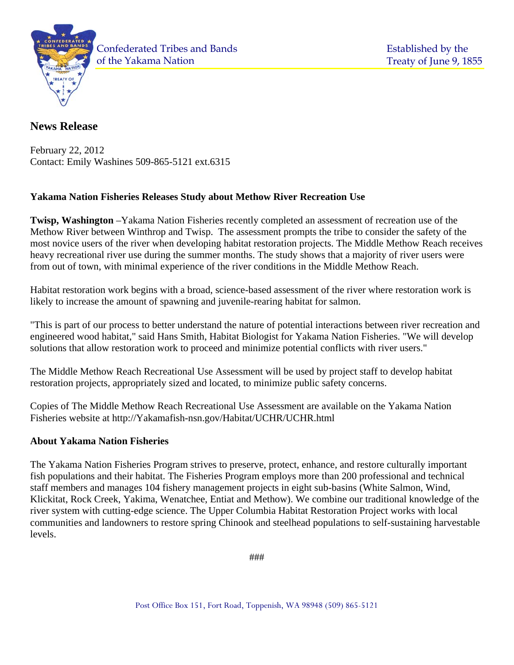

of the Yakama Nation Confederated Tribes and Bands

# **News Release**

February 22, 2012 Contact: Emily Washines 509-865-5121 ext.6315

## **Yakama Nation Fisheries Releases Study about Methow River Recreation Use**

**Twisp, Washington** –Yakama Nation Fisheries recently completed an assessment of recreation use of the Methow River between Winthrop and Twisp. The assessment prompts the tribe to consider the safety of the most novice users of the river when developing habitat restoration projects. The Middle Methow Reach receives heavy recreational river use during the summer months. The study shows that a majority of river users were from out of town, with minimal experience of the river conditions in the Middle Methow Reach.

Habitat restoration work begins with a broad, science-based assessment of the river where restoration work is likely to increase the amount of spawning and juvenile-rearing habitat for salmon.

"This is part of our process to better understand the nature of potential interactions between river recreation and engineered wood habitat," said Hans Smith, Habitat Biologist for Yakama Nation Fisheries. "We will develop solutions that allow restoration work to proceed and minimize potential conflicts with river users."

The Middle Methow Reach Recreational Use Assessment will be used by project staff to develop habitat restoration projects, appropriately sized and located, to minimize public safety concerns.

Copies of The Middle Methow Reach Recreational Use Assessment are available on the Yakama Nation Fisheries website at http://Yakamafish-nsn.gov/Habitat/UCHR/UCHR.html

### **About Yakama Nation Fisheries**

The Yakama Nation Fisheries Program strives to preserve, protect, enhance, and restore culturally important fish populations and their habitat. The Fisheries Program employs more than 200 professional and technical staff members and manages 104 fishery management projects in eight sub-basins (White Salmon, Wind, Klickitat, Rock Creek, Yakima, Wenatchee, Entiat and Methow). We combine our traditional knowledge of the river system with cutting-edge science. The Upper Columbia Habitat Restoration Project works with local communities and landowners to restore spring Chinook and steelhead populations to self-sustaining harvestable levels.

###